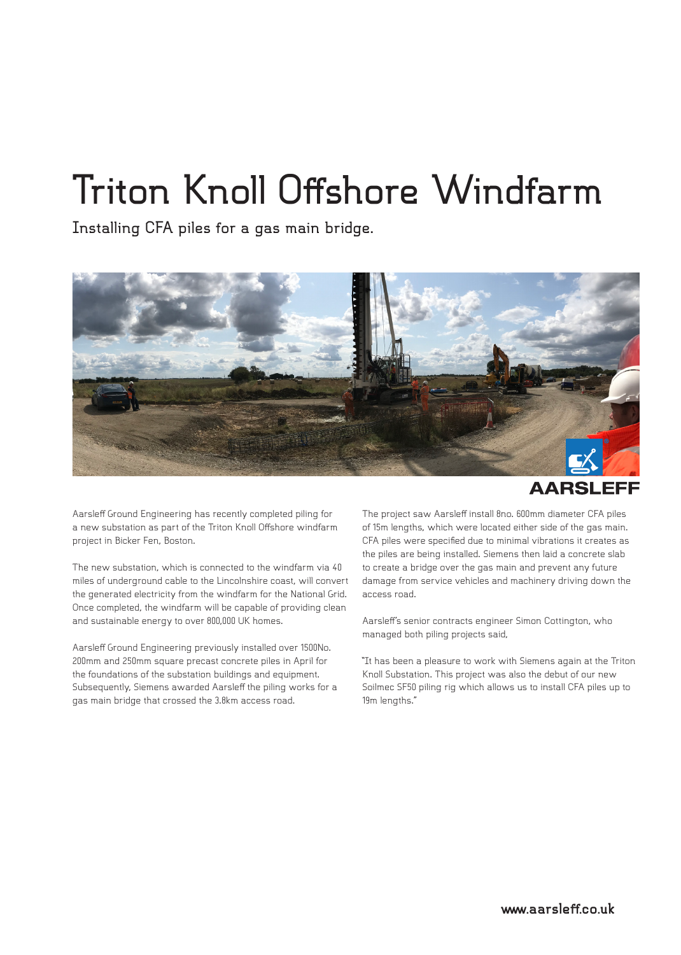## **Triton Knoll Offshore Windfarm**

**Installing CFA piles for a gas main bridge.**





Aarsleff Ground Engineering has recently completed piling for a new substation as part of the Triton Knoll Offshore windfarm project in Bicker Fen, Boston.

The new substation, which is connected to the windfarm via 40 miles of underground cable to the Lincolnshire coast, will convert the generated electricity from the windfarm for the National Grid. Once completed, the windfarm will be capable of providing clean and sustainable energy to over 800,000 UK homes.

Aarsleff Ground Engineering previously installed over 1500No. 200mm and 250mm square precast concrete piles in April for the foundations of the substation buildings and equipment. Subsequently, Siemens awarded Aarsleff the piling works for a gas main bridge that crossed the 3.8km access road.

The project saw Aarsleff install 8no. 600mm diameter CFA piles of 15m lengths, which were located either side of the gas main. CFA piles were specified due to minimal vibrations it creates as the piles are being installed. Siemens then laid a concrete slab to create a bridge over the gas main and prevent any future damage from service vehicles and machinery driving down the access road.

Aarsleff's senior contracts engineer Simon Cottington, who managed both piling projects said,

"It has been a pleasure to work with Siemens again at the Triton Knoll Substation. This project was also the debut of our new Soilmec SF50 piling rig which allows us to install CFA piles up to 19m lengths."